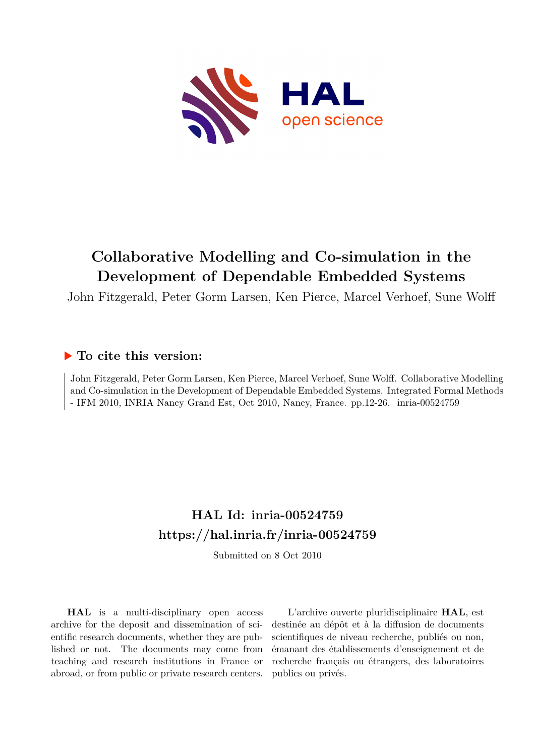

# **Collaborative Modelling and Co-simulation in the Development of Dependable Embedded Systems**

John Fitzgerald, Peter Gorm Larsen, Ken Pierce, Marcel Verhoef, Sune Wolff

# **To cite this version:**

John Fitzgerald, Peter Gorm Larsen, Ken Pierce, Marcel Verhoef, Sune Wolff. Collaborative Modelling and Co-simulation in the Development of Dependable Embedded Systems. Integrated Formal Methods - IFM 2010, INRIA Nancy Grand Est, Oct 2010, Nancy, France. pp.12-26. inria-00524759

# **HAL Id: inria-00524759 <https://hal.inria.fr/inria-00524759>**

Submitted on 8 Oct 2010

**HAL** is a multi-disciplinary open access archive for the deposit and dissemination of scientific research documents, whether they are published or not. The documents may come from teaching and research institutions in France or abroad, or from public or private research centers.

L'archive ouverte pluridisciplinaire **HAL**, est destinée au dépôt et à la diffusion de documents scientifiques de niveau recherche, publiés ou non, émanant des établissements d'enseignement et de recherche français ou étrangers, des laboratoires publics ou privés.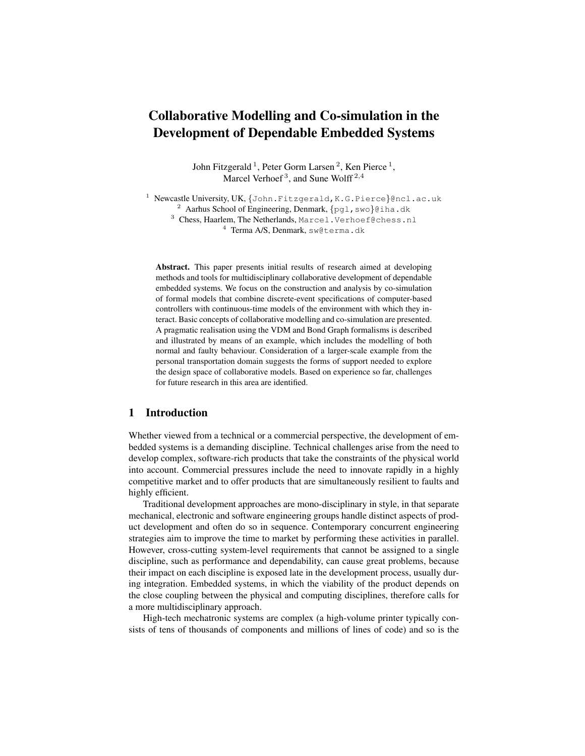# Collaborative Modelling and Co-simulation in the Development of Dependable Embedded Systems

John Fitzgerald<sup>1</sup>, Peter Gorm Larsen<sup>2</sup>, Ken Pierce<sup>1</sup>, Marcel Verhoef<sup>3</sup>, and Sune Wolff<sup>2,4</sup>

<sup>1</sup> Newcastle University, UK, {John.Fitzgerald, K.G.Pierce}@ncl.ac.uk <sup>2</sup> Aarhus School of Engineering, Denmark,  $\{pg1, swo\}$ @iha.dk <sup>3</sup> Chess, Haarlem, The Netherlands, Marcel.Verhoef@chess.nl <sup>4</sup> Terma A/S, Denmark, sw@terma.dk

Abstract. This paper presents initial results of research aimed at developing methods and tools for multidisciplinary collaborative development of dependable embedded systems. We focus on the construction and analysis by co-simulation of formal models that combine discrete-event specifications of computer-based controllers with continuous-time models of the environment with which they interact. Basic concepts of collaborative modelling and co-simulation are presented. A pragmatic realisation using the VDM and Bond Graph formalisms is described and illustrated by means of an example, which includes the modelling of both normal and faulty behaviour. Consideration of a larger-scale example from the personal transportation domain suggests the forms of support needed to explore the design space of collaborative models. Based on experience so far, challenges for future research in this area are identified.

### 1 Introduction

Whether viewed from a technical or a commercial perspective, the development of embedded systems is a demanding discipline. Technical challenges arise from the need to develop complex, software-rich products that take the constraints of the physical world into account. Commercial pressures include the need to innovate rapidly in a highly competitive market and to offer products that are simultaneously resilient to faults and highly efficient.

Traditional development approaches are mono-disciplinary in style, in that separate mechanical, electronic and software engineering groups handle distinct aspects of product development and often do so in sequence. Contemporary concurrent engineering strategies aim to improve the time to market by performing these activities in parallel. However, cross-cutting system-level requirements that cannot be assigned to a single discipline, such as performance and dependability, can cause great problems, because their impact on each discipline is exposed late in the development process, usually during integration. Embedded systems, in which the viability of the product depends on the close coupling between the physical and computing disciplines, therefore calls for a more multidisciplinary approach.

High-tech mechatronic systems are complex (a high-volume printer typically consists of tens of thousands of components and millions of lines of code) and so is the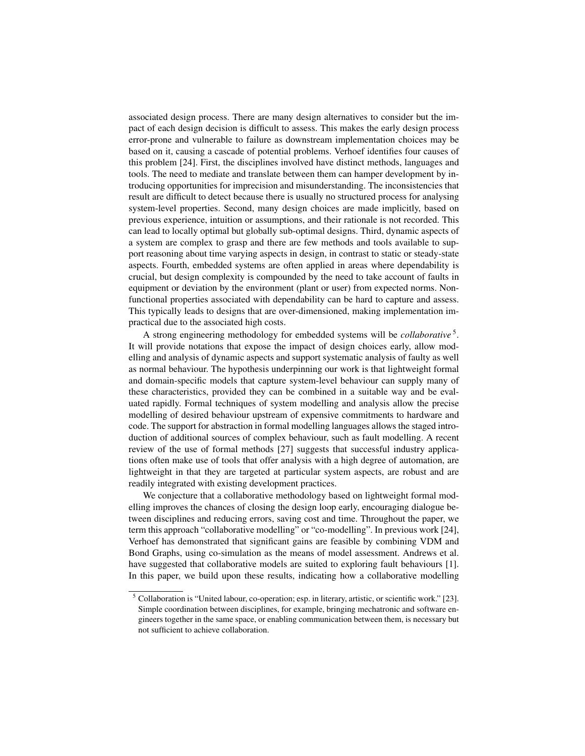associated design process. There are many design alternatives to consider but the impact of each design decision is difficult to assess. This makes the early design process error-prone and vulnerable to failure as downstream implementation choices may be based on it, causing a cascade of potential problems. Verhoef identifies four causes of this problem [24]. First, the disciplines involved have distinct methods, languages and tools. The need to mediate and translate between them can hamper development by introducing opportunities for imprecision and misunderstanding. The inconsistencies that result are difficult to detect because there is usually no structured process for analysing system-level properties. Second, many design choices are made implicitly, based on previous experience, intuition or assumptions, and their rationale is not recorded. This can lead to locally optimal but globally sub-optimal designs. Third, dynamic aspects of a system are complex to grasp and there are few methods and tools available to support reasoning about time varying aspects in design, in contrast to static or steady-state aspects. Fourth, embedded systems are often applied in areas where dependability is crucial, but design complexity is compounded by the need to take account of faults in equipment or deviation by the environment (plant or user) from expected norms. Nonfunctional properties associated with dependability can be hard to capture and assess. This typically leads to designs that are over-dimensioned, making implementation impractical due to the associated high costs.

A strong engineering methodology for embedded systems will be *collaborative* <sup>5</sup> . It will provide notations that expose the impact of design choices early, allow modelling and analysis of dynamic aspects and support systematic analysis of faulty as well as normal behaviour. The hypothesis underpinning our work is that lightweight formal and domain-specific models that capture system-level behaviour can supply many of these characteristics, provided they can be combined in a suitable way and be evaluated rapidly. Formal techniques of system modelling and analysis allow the precise modelling of desired behaviour upstream of expensive commitments to hardware and code. The support for abstraction in formal modelling languages allows the staged introduction of additional sources of complex behaviour, such as fault modelling. A recent review of the use of formal methods [27] suggests that successful industry applications often make use of tools that offer analysis with a high degree of automation, are lightweight in that they are targeted at particular system aspects, are robust and are readily integrated with existing development practices.

We conjecture that a collaborative methodology based on lightweight formal modelling improves the chances of closing the design loop early, encouraging dialogue between disciplines and reducing errors, saving cost and time. Throughout the paper, we term this approach "collaborative modelling" or "co-modelling". In previous work [24], Verhoef has demonstrated that significant gains are feasible by combining VDM and Bond Graphs, using co-simulation as the means of model assessment. Andrews et al. have suggested that collaborative models are suited to exploring fault behaviours [1]. In this paper, we build upon these results, indicating how a collaborative modelling

<sup>5</sup> Collaboration is "United labour, co-operation; esp. in literary, artistic, or scientific work." [23]. Simple coordination between disciplines, for example, bringing mechatronic and software engineers together in the same space, or enabling communication between them, is necessary but not sufficient to achieve collaboration.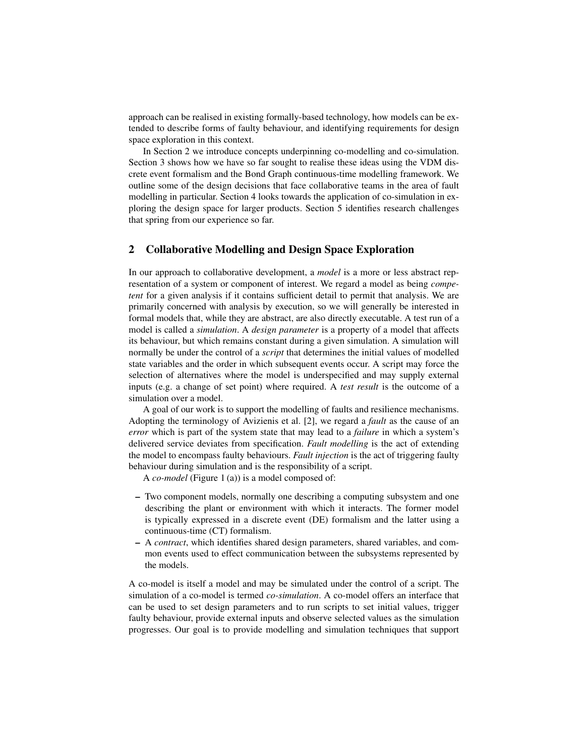approach can be realised in existing formally-based technology, how models can be extended to describe forms of faulty behaviour, and identifying requirements for design space exploration in this context.

In Section 2 we introduce concepts underpinning co-modelling and co-simulation. Section 3 shows how we have so far sought to realise these ideas using the VDM discrete event formalism and the Bond Graph continuous-time modelling framework. We outline some of the design decisions that face collaborative teams in the area of fault modelling in particular. Section 4 looks towards the application of co-simulation in exploring the design space for larger products. Section 5 identifies research challenges that spring from our experience so far.

## 2 Collaborative Modelling and Design Space Exploration

In our approach to collaborative development, a *model* is a more or less abstract representation of a system or component of interest. We regard a model as being *competent* for a given analysis if it contains sufficient detail to permit that analysis. We are primarily concerned with analysis by execution, so we will generally be interested in formal models that, while they are abstract, are also directly executable. A test run of a model is called a *simulation*. A *design parameter* is a property of a model that affects its behaviour, but which remains constant during a given simulation. A simulation will normally be under the control of a *script* that determines the initial values of modelled state variables and the order in which subsequent events occur. A script may force the selection of alternatives where the model is underspecified and may supply external inputs (e.g. a change of set point) where required. A *test result* is the outcome of a simulation over a model.

A goal of our work is to support the modelling of faults and resilience mechanisms. Adopting the terminology of Avizienis et al. [2], we regard a *fault* as the cause of an *error* which is part of the system state that may lead to a *failure* in which a system's delivered service deviates from specification. *Fault modelling* is the act of extending the model to encompass faulty behaviours. *Fault injection* is the act of triggering faulty behaviour during simulation and is the responsibility of a script.

A *co-model* (Figure 1 (a)) is a model composed of:

- Two component models, normally one describing a computing subsystem and one describing the plant or environment with which it interacts. The former model is typically expressed in a discrete event (DE) formalism and the latter using a continuous-time (CT) formalism.
- A *contract*, which identifies shared design parameters, shared variables, and common events used to effect communication between the subsystems represented by the models.

A co-model is itself a model and may be simulated under the control of a script. The simulation of a co-model is termed *co-simulation*. A co-model offers an interface that can be used to set design parameters and to run scripts to set initial values, trigger faulty behaviour, provide external inputs and observe selected values as the simulation progresses. Our goal is to provide modelling and simulation techniques that support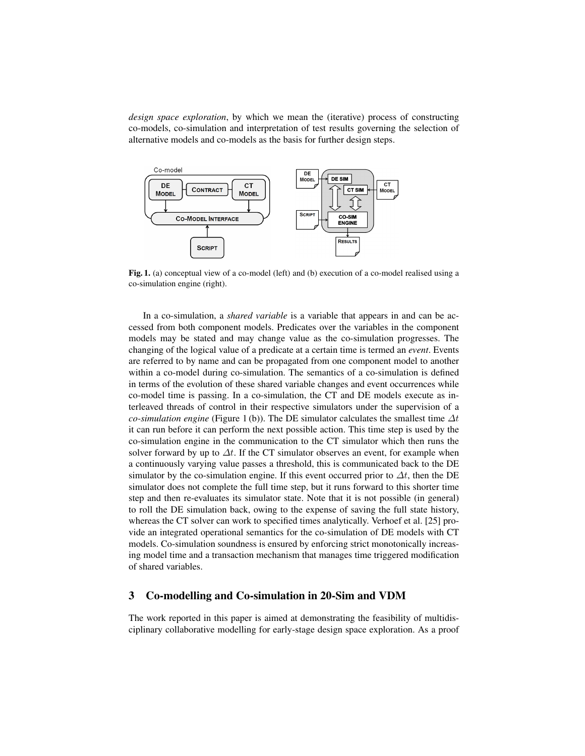*design space exploration*, by which we mean the (iterative) process of constructing co-models, co-simulation and interpretation of test results governing the selection of alternative models and co-models as the basis for further design steps.



Fig. 1. (a) conceptual view of a co-model (left) and (b) execution of a co-model realised using a co-simulation engine (right).

In a co-simulation, a *shared variable* is a variable that appears in and can be accessed from both component models. Predicates over the variables in the component models may be stated and may change value as the co-simulation progresses. The changing of the logical value of a predicate at a certain time is termed an *event*. Events are referred to by name and can be propagated from one component model to another within a co-model during co-simulation. The semantics of a co-simulation is defined in terms of the evolution of these shared variable changes and event occurrences while co-model time is passing. In a co-simulation, the CT and DE models execute as interleaved threads of control in their respective simulators under the supervision of a *co-simulation engine* (Figure 1 (b)). The DE simulator calculates the smallest time  $\Delta t$ it can run before it can perform the next possible action. This time step is used by the co-simulation engine in the communication to the CT simulator which then runs the solver forward by up to  $\Delta t$ . If the CT simulator observes an event, for example when a continuously varying value passes a threshold, this is communicated back to the DE simulator by the co-simulation engine. If this event occurred prior to  $\Delta t$ , then the DE simulator does not complete the full time step, but it runs forward to this shorter time step and then re-evaluates its simulator state. Note that it is not possible (in general) to roll the DE simulation back, owing to the expense of saving the full state history, whereas the CT solver can work to specified times analytically. Verhoef et al. [25] provide an integrated operational semantics for the co-simulation of DE models with CT models. Co-simulation soundness is ensured by enforcing strict monotonically increasing model time and a transaction mechanism that manages time triggered modification of shared variables.

# 3 Co-modelling and Co-simulation in 20-Sim and VDM

The work reported in this paper is aimed at demonstrating the feasibility of multidisciplinary collaborative modelling for early-stage design space exploration. As a proof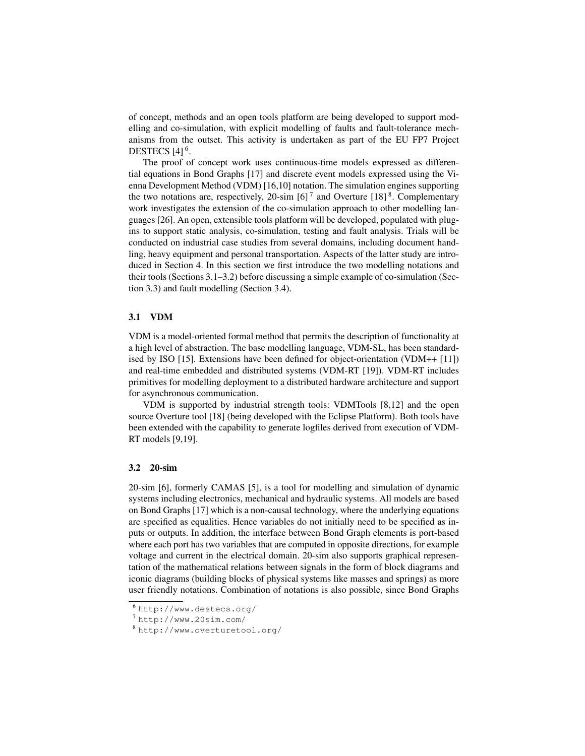of concept, methods and an open tools platform are being developed to support modelling and co-simulation, with explicit modelling of faults and fault-tolerance mechanisms from the outset. This activity is undertaken as part of the EU FP7 Project DESTECS [4]<sup>6</sup>.

The proof of concept work uses continuous-time models expressed as differential equations in Bond Graphs [17] and discrete event models expressed using the Vienna Development Method (VDM) [16,10] notation. The simulation engines supporting the two notations are, respectively, 20-sim  $[6]^7$  and Overture  $[18]^8$ . Complementary work investigates the extension of the co-simulation approach to other modelling languages [26]. An open, extensible tools platform will be developed, populated with plugins to support static analysis, co-simulation, testing and fault analysis. Trials will be conducted on industrial case studies from several domains, including document handling, heavy equipment and personal transportation. Aspects of the latter study are introduced in Section 4. In this section we first introduce the two modelling notations and their tools (Sections 3.1–3.2) before discussing a simple example of co-simulation (Section 3.3) and fault modelling (Section 3.4).

#### 3.1 VDM

VDM is a model-oriented formal method that permits the description of functionality at a high level of abstraction. The base modelling language, VDM-SL, has been standardised by ISO [15]. Extensions have been defined for object-orientation (VDM++ [11]) and real-time embedded and distributed systems (VDM-RT [19]). VDM-RT includes primitives for modelling deployment to a distributed hardware architecture and support for asynchronous communication.

VDM is supported by industrial strength tools: VDMTools [8,12] and the open source Overture tool [18] (being developed with the Eclipse Platform). Both tools have been extended with the capability to generate logfiles derived from execution of VDM-RT models [9,19].

#### 3.2 20-sim

20-sim [6], formerly CAMAS [5], is a tool for modelling and simulation of dynamic systems including electronics, mechanical and hydraulic systems. All models are based on Bond Graphs [17] which is a non-causal technology, where the underlying equations are specified as equalities. Hence variables do not initially need to be specified as inputs or outputs. In addition, the interface between Bond Graph elements is port-based where each port has two variables that are computed in opposite directions, for example voltage and current in the electrical domain. 20-sim also supports graphical representation of the mathematical relations between signals in the form of block diagrams and iconic diagrams (building blocks of physical systems like masses and springs) as more user friendly notations. Combination of notations is also possible, since Bond Graphs

<sup>6</sup> http://www.destecs.org/

<sup>7</sup> http://www.20sim.com/

<sup>8</sup> http://www.overturetool.org/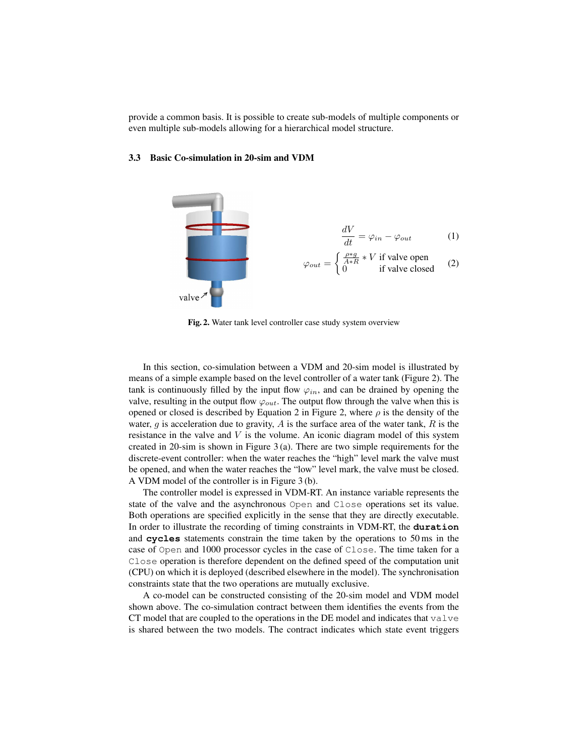provide a common basis. It is possible to create sub-models of multiple components or even multiple sub-models allowing for a hierarchical model structure.

#### 3.3 Basic Co-simulation in 20-sim and VDM



Fig. 2. Water tank level controller case study system overview

In this section, co-simulation between a VDM and 20-sim model is illustrated by means of a simple example based on the level controller of a water tank (Figure 2). The tank is continuously filled by the input flow  $\varphi_{in}$ , and can be drained by opening the valve, resulting in the output flow  $\varphi_{out}$ . The output flow through the valve when this is opened or closed is described by Equation 2 in Figure 2, where  $\rho$  is the density of the water,  $g$  is acceleration due to gravity,  $A$  is the surface area of the water tank,  $R$  is the resistance in the valve and  $V$  is the volume. An iconic diagram model of this system created in 20-sim is shown in Figure 3 (a). There are two simple requirements for the discrete-event controller: when the water reaches the "high" level mark the valve must be opened, and when the water reaches the "low" level mark, the valve must be closed. A VDM model of the controller is in Figure 3 (b).

The controller model is expressed in VDM-RT. An instance variable represents the state of the valve and the asynchronous Open and Close operations set its value. Both operations are specified explicitly in the sense that they are directly executable. In order to illustrate the recording of timing constraints in VDM-RT, the **duration** and **cycles** statements constrain the time taken by the operations to 50 ms in the case of Open and 1000 processor cycles in the case of Close. The time taken for a Close operation is therefore dependent on the defined speed of the computation unit (CPU) on which it is deployed (described elsewhere in the model). The synchronisation constraints state that the two operations are mutually exclusive.

A co-model can be constructed consisting of the 20-sim model and VDM model shown above. The co-simulation contract between them identifies the events from the CT model that are coupled to the operations in the DE model and indicates that  $\text{valve}$ is shared between the two models. The contract indicates which state event triggers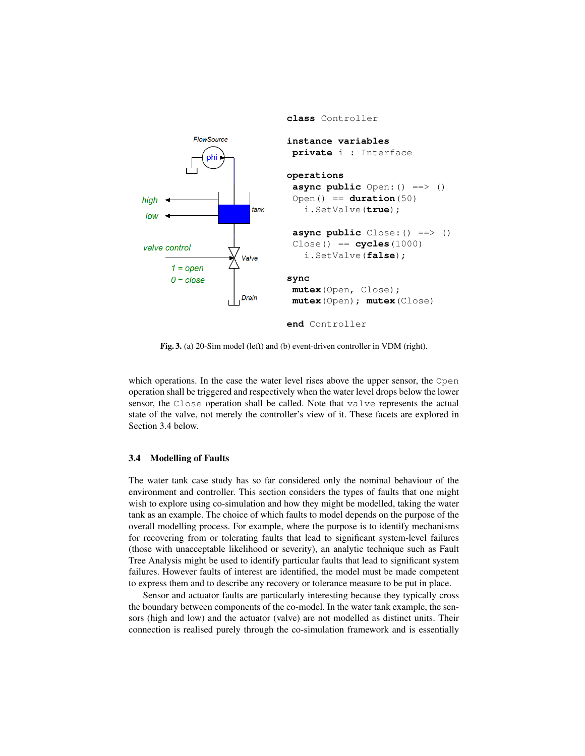



Fig. 3. (a) 20-Sim model (left) and (b) event-driven controller in VDM (right).

which operations. In the case the water level rises above the upper sensor, the Open operation shall be triggered and respectively when the water level drops below the lower sensor, the Close operation shall be called. Note that valve represents the actual state of the valve, not merely the controller's view of it. These facets are explored in Section 3.4 below.

#### 3.4 Modelling of Faults

The water tank case study has so far considered only the nominal behaviour of the environment and controller. This section considers the types of faults that one might wish to explore using co-simulation and how they might be modelled, taking the water tank as an example. The choice of which faults to model depends on the purpose of the overall modelling process. For example, where the purpose is to identify mechanisms for recovering from or tolerating faults that lead to significant system-level failures (those with unacceptable likelihood or severity), an analytic technique such as Fault Tree Analysis might be used to identify particular faults that lead to significant system failures. However faults of interest are identified, the model must be made competent to express them and to describe any recovery or tolerance measure to be put in place.

Sensor and actuator faults are particularly interesting because they typically cross the boundary between components of the co-model. In the water tank example, the sensors (high and low) and the actuator (valve) are not modelled as distinct units. Their connection is realised purely through the co-simulation framework and is essentially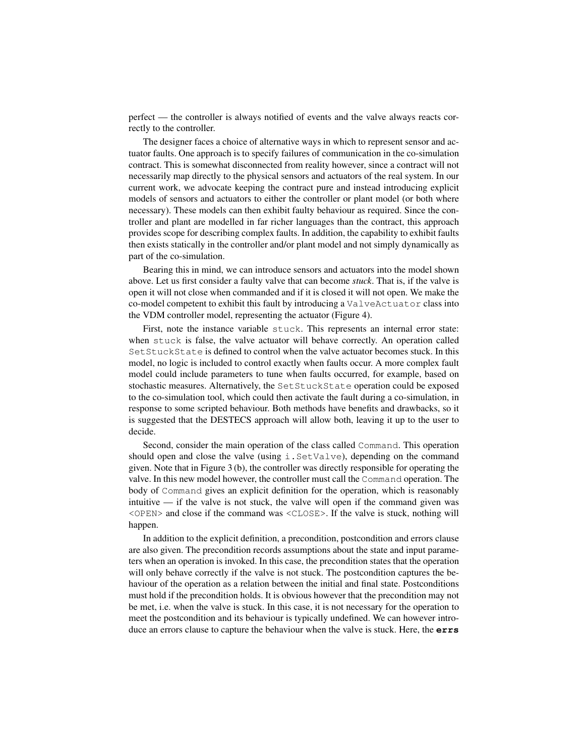perfect — the controller is always notified of events and the valve always reacts correctly to the controller.

The designer faces a choice of alternative ways in which to represent sensor and actuator faults. One approach is to specify failures of communication in the co-simulation contract. This is somewhat disconnected from reality however, since a contract will not necessarily map directly to the physical sensors and actuators of the real system. In our current work, we advocate keeping the contract pure and instead introducing explicit models of sensors and actuators to either the controller or plant model (or both where necessary). These models can then exhibit faulty behaviour as required. Since the controller and plant are modelled in far richer languages than the contract, this approach provides scope for describing complex faults. In addition, the capability to exhibit faults then exists statically in the controller and/or plant model and not simply dynamically as part of the co-simulation.

Bearing this in mind, we can introduce sensors and actuators into the model shown above. Let us first consider a faulty valve that can become *stuck*. That is, if the valve is open it will not close when commanded and if it is closed it will not open. We make the co-model competent to exhibit this fault by introducing a ValveActuator class into the VDM controller model, representing the actuator (Figure 4).

First, note the instance variable stuck. This represents an internal error state: when stuck is false, the valve actuator will behave correctly. An operation called SetStuckState is defined to control when the valve actuator becomes stuck. In this model, no logic is included to control exactly when faults occur. A more complex fault model could include parameters to tune when faults occurred, for example, based on stochastic measures. Alternatively, the SetStuckState operation could be exposed to the co-simulation tool, which could then activate the fault during a co-simulation, in response to some scripted behaviour. Both methods have benefits and drawbacks, so it is suggested that the DESTECS approach will allow both, leaving it up to the user to decide.

Second, consider the main operation of the class called Command. This operation should open and close the valve (using i. SetValve), depending on the command given. Note that in Figure 3 (b), the controller was directly responsible for operating the valve. In this new model however, the controller must call the Command operation. The body of Command gives an explicit definition for the operation, which is reasonably intuitive — if the valve is not stuck, the valve will open if the command given was <OPEN> and close if the command was <CLOSE>. If the valve is stuck, nothing will happen.

In addition to the explicit definition, a precondition, postcondition and errors clause are also given. The precondition records assumptions about the state and input parameters when an operation is invoked. In this case, the precondition states that the operation will only behave correctly if the valve is not stuck. The postcondition captures the behaviour of the operation as a relation between the initial and final state. Postconditions must hold if the precondition holds. It is obvious however that the precondition may not be met, i.e. when the valve is stuck. In this case, it is not necessary for the operation to meet the postcondition and its behaviour is typically undefined. We can however introduce an errors clause to capture the behaviour when the valve is stuck. Here, the **errs**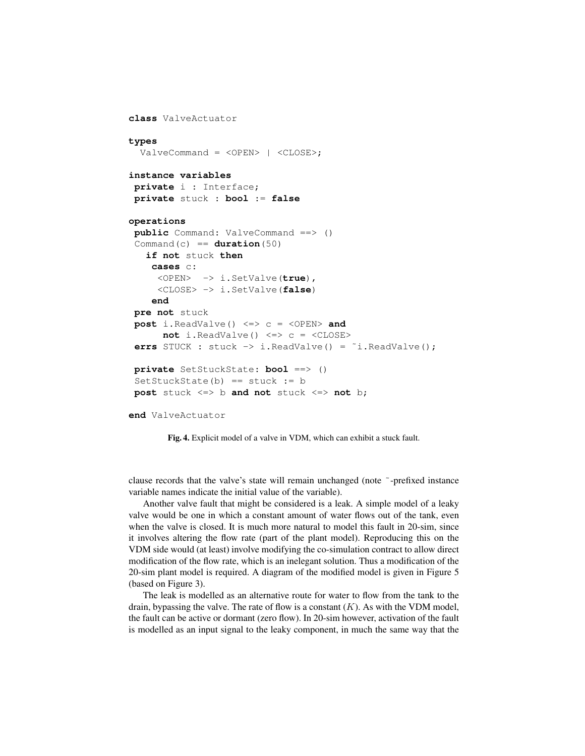```
class ValveActuator
types
 ValveCommand = <OPEN> | <CLOSE>;
instance variables
private i : Interface;
private stuck : bool := false
operations
public Command: ValveCommand ==> ()
 Command(c) == duration(50)
  if not stuck then
    cases c:
     <OPEN> -> i.SetValve(true),
     <CLOSE> -> i.SetValve(false)
   end
pre not stuck
post i.ReadValve() <=> c = <OPEN> and
      not i.ReadValve() <=> c = <CLOSE>
 errs STUCK : stuck -> i.ReadValve() = ˜i.ReadValve();
private SetStuckState: bool ==> ()
SetStuckState(b) == stuck := bpost stuck <=> b and not stuck <=> not b;
```

```
end ValveActuator
```
Fig. 4. Explicit model of a valve in VDM, which can exhibit a stuck fault.

clause records that the valve's state will remain unchanged (note ˜-prefixed instance variable names indicate the initial value of the variable).

Another valve fault that might be considered is a leak. A simple model of a leaky valve would be one in which a constant amount of water flows out of the tank, even when the valve is closed. It is much more natural to model this fault in 20-sim, since it involves altering the flow rate (part of the plant model). Reproducing this on the VDM side would (at least) involve modifying the co-simulation contract to allow direct modification of the flow rate, which is an inelegant solution. Thus a modification of the 20-sim plant model is required. A diagram of the modified model is given in Figure 5 (based on Figure 3).

The leak is modelled as an alternative route for water to flow from the tank to the drain, bypassing the valve. The rate of flow is a constant  $(K)$ . As with the VDM model, the fault can be active or dormant (zero flow). In 20-sim however, activation of the fault is modelled as an input signal to the leaky component, in much the same way that the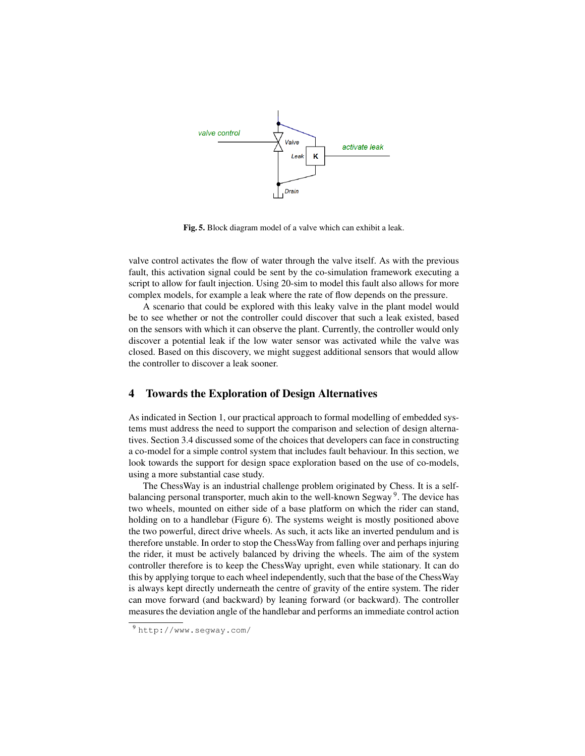

Fig. 5. Block diagram model of a valve which can exhibit a leak.

valve control activates the flow of water through the valve itself. As with the previous fault, this activation signal could be sent by the co-simulation framework executing a script to allow for fault injection. Using 20-sim to model this fault also allows for more complex models, for example a leak where the rate of flow depends on the pressure.

A scenario that could be explored with this leaky valve in the plant model would be to see whether or not the controller could discover that such a leak existed, based on the sensors with which it can observe the plant. Currently, the controller would only discover a potential leak if the low water sensor was activated while the valve was closed. Based on this discovery, we might suggest additional sensors that would allow the controller to discover a leak sooner.

# 4 Towards the Exploration of Design Alternatives

As indicated in Section 1, our practical approach to formal modelling of embedded systems must address the need to support the comparison and selection of design alternatives. Section 3.4 discussed some of the choices that developers can face in constructing a co-model for a simple control system that includes fault behaviour. In this section, we look towards the support for design space exploration based on the use of co-models, using a more substantial case study.

The ChessWay is an industrial challenge problem originated by Chess. It is a selfbalancing personal transporter, much akin to the well-known Segway<sup>9</sup>. The device has two wheels, mounted on either side of a base platform on which the rider can stand, holding on to a handlebar (Figure 6). The systems weight is mostly positioned above the two powerful, direct drive wheels. As such, it acts like an inverted pendulum and is therefore unstable. In order to stop the ChessWay from falling over and perhaps injuring the rider, it must be actively balanced by driving the wheels. The aim of the system controller therefore is to keep the ChessWay upright, even while stationary. It can do this by applying torque to each wheel independently, such that the base of the ChessWay is always kept directly underneath the centre of gravity of the entire system. The rider can move forward (and backward) by leaning forward (or backward). The controller measures the deviation angle of the handlebar and performs an immediate control action

<sup>9</sup> http://www.segway.com/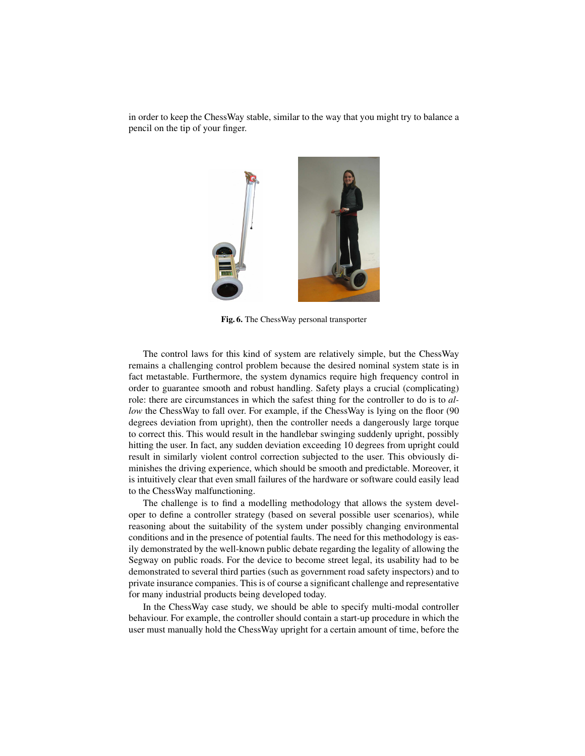in order to keep the ChessWay stable, similar to the way that you might try to balance a pencil on the tip of your finger.



Fig. 6. The ChessWay personal transporter

The control laws for this kind of system are relatively simple, but the ChessWay remains a challenging control problem because the desired nominal system state is in fact metastable. Furthermore, the system dynamics require high frequency control in order to guarantee smooth and robust handling. Safety plays a crucial (complicating) role: there are circumstances in which the safest thing for the controller to do is to *allow* the ChessWay to fall over. For example, if the ChessWay is lying on the floor (90 degrees deviation from upright), then the controller needs a dangerously large torque to correct this. This would result in the handlebar swinging suddenly upright, possibly hitting the user. In fact, any sudden deviation exceeding 10 degrees from upright could result in similarly violent control correction subjected to the user. This obviously diminishes the driving experience, which should be smooth and predictable. Moreover, it is intuitively clear that even small failures of the hardware or software could easily lead to the ChessWay malfunctioning.

The challenge is to find a modelling methodology that allows the system developer to define a controller strategy (based on several possible user scenarios), while reasoning about the suitability of the system under possibly changing environmental conditions and in the presence of potential faults. The need for this methodology is easily demonstrated by the well-known public debate regarding the legality of allowing the Segway on public roads. For the device to become street legal, its usability had to be demonstrated to several third parties (such as government road safety inspectors) and to private insurance companies. This is of course a significant challenge and representative for many industrial products being developed today.

In the ChessWay case study, we should be able to specify multi-modal controller behaviour. For example, the controller should contain a start-up procedure in which the user must manually hold the ChessWay upright for a certain amount of time, before the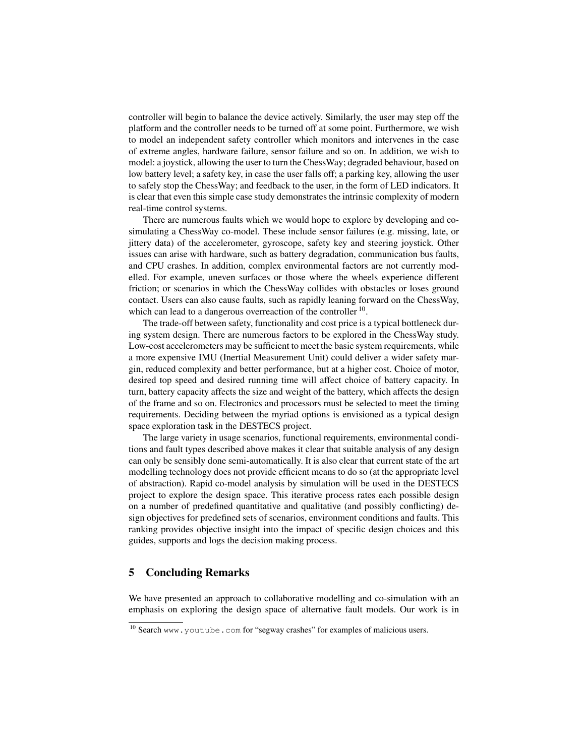controller will begin to balance the device actively. Similarly, the user may step off the platform and the controller needs to be turned off at some point. Furthermore, we wish to model an independent safety controller which monitors and intervenes in the case of extreme angles, hardware failure, sensor failure and so on. In addition, we wish to model: a joystick, allowing the user to turn the ChessWay; degraded behaviour, based on low battery level; a safety key, in case the user falls off; a parking key, allowing the user to safely stop the ChessWay; and feedback to the user, in the form of LED indicators. It is clear that even this simple case study demonstrates the intrinsic complexity of modern real-time control systems.

There are numerous faults which we would hope to explore by developing and cosimulating a ChessWay co-model. These include sensor failures (e.g. missing, late, or jittery data) of the accelerometer, gyroscope, safety key and steering joystick. Other issues can arise with hardware, such as battery degradation, communication bus faults, and CPU crashes. In addition, complex environmental factors are not currently modelled. For example, uneven surfaces or those where the wheels experience different friction; or scenarios in which the ChessWay collides with obstacles or loses ground contact. Users can also cause faults, such as rapidly leaning forward on the ChessWay, which can lead to a dangerous overreaction of the controller  $10$ .

The trade-off between safety, functionality and cost price is a typical bottleneck during system design. There are numerous factors to be explored in the ChessWay study. Low-cost accelerometers may be sufficient to meet the basic system requirements, while a more expensive IMU (Inertial Measurement Unit) could deliver a wider safety margin, reduced complexity and better performance, but at a higher cost. Choice of motor, desired top speed and desired running time will affect choice of battery capacity. In turn, battery capacity affects the size and weight of the battery, which affects the design of the frame and so on. Electronics and processors must be selected to meet the timing requirements. Deciding between the myriad options is envisioned as a typical design space exploration task in the DESTECS project.

The large variety in usage scenarios, functional requirements, environmental conditions and fault types described above makes it clear that suitable analysis of any design can only be sensibly done semi-automatically. It is also clear that current state of the art modelling technology does not provide efficient means to do so (at the appropriate level of abstraction). Rapid co-model analysis by simulation will be used in the DESTECS project to explore the design space. This iterative process rates each possible design on a number of predefined quantitative and qualitative (and possibly conflicting) design objectives for predefined sets of scenarios, environment conditions and faults. This ranking provides objective insight into the impact of specific design choices and this guides, supports and logs the decision making process.

# 5 Concluding Remarks

We have presented an approach to collaborative modelling and co-simulation with an emphasis on exploring the design space of alternative fault models. Our work is in

<sup>&</sup>lt;sup>10</sup> Search www.youtube.com for "segway crashes" for examples of malicious users.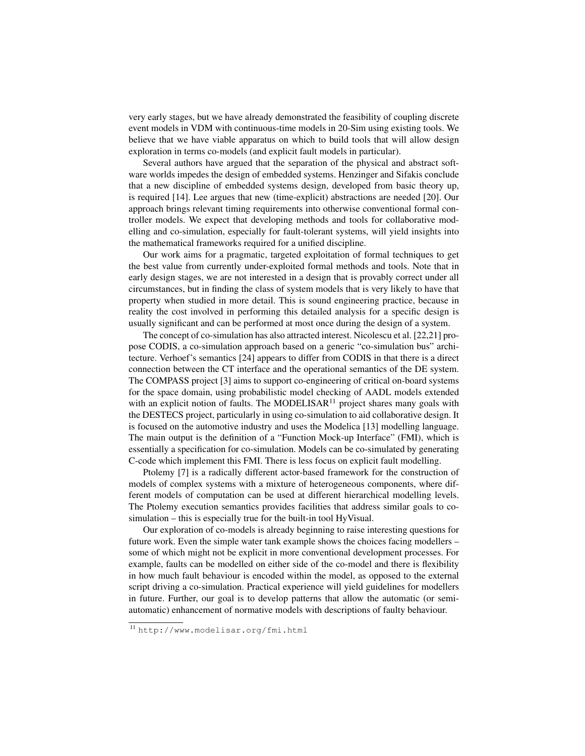very early stages, but we have already demonstrated the feasibility of coupling discrete event models in VDM with continuous-time models in 20-Sim using existing tools. We believe that we have viable apparatus on which to build tools that will allow design exploration in terms co-models (and explicit fault models in particular).

Several authors have argued that the separation of the physical and abstract software worlds impedes the design of embedded systems. Henzinger and Sifakis conclude that a new discipline of embedded systems design, developed from basic theory up, is required [14]. Lee argues that new (time-explicit) abstractions are needed [20]. Our approach brings relevant timing requirements into otherwise conventional formal controller models. We expect that developing methods and tools for collaborative modelling and co-simulation, especially for fault-tolerant systems, will yield insights into the mathematical frameworks required for a unified discipline.

Our work aims for a pragmatic, targeted exploitation of formal techniques to get the best value from currently under-exploited formal methods and tools. Note that in early design stages, we are not interested in a design that is provably correct under all circumstances, but in finding the class of system models that is very likely to have that property when studied in more detail. This is sound engineering practice, because in reality the cost involved in performing this detailed analysis for a specific design is usually significant and can be performed at most once during the design of a system.

The concept of co-simulation has also attracted interest. Nicolescu et al. [22,21] propose CODIS, a co-simulation approach based on a generic "co-simulation bus" architecture. Verhoef's semantics [24] appears to differ from CODIS in that there is a direct connection between the CT interface and the operational semantics of the DE system. The COMPASS project [3] aims to support co-engineering of critical on-board systems for the space domain, using probabilistic model checking of AADL models extended with an explicit notion of faults. The MODELISAR $^{11}$  project shares many goals with the DESTECS project, particularly in using co-simulation to aid collaborative design. It is focused on the automotive industry and uses the Modelica [13] modelling language. The main output is the definition of a "Function Mock-up Interface" (FMI), which is essentially a specification for co-simulation. Models can be co-simulated by generating C-code which implement this FMI. There is less focus on explicit fault modelling.

Ptolemy [7] is a radically different actor-based framework for the construction of models of complex systems with a mixture of heterogeneous components, where different models of computation can be used at different hierarchical modelling levels. The Ptolemy execution semantics provides facilities that address similar goals to cosimulation – this is especially true for the built-in tool HyVisual.

Our exploration of co-models is already beginning to raise interesting questions for future work. Even the simple water tank example shows the choices facing modellers – some of which might not be explicit in more conventional development processes. For example, faults can be modelled on either side of the co-model and there is flexibility in how much fault behaviour is encoded within the model, as opposed to the external script driving a co-simulation. Practical experience will yield guidelines for modellers in future. Further, our goal is to develop patterns that allow the automatic (or semiautomatic) enhancement of normative models with descriptions of faulty behaviour.

<sup>11</sup> http://www.modelisar.org/fmi.html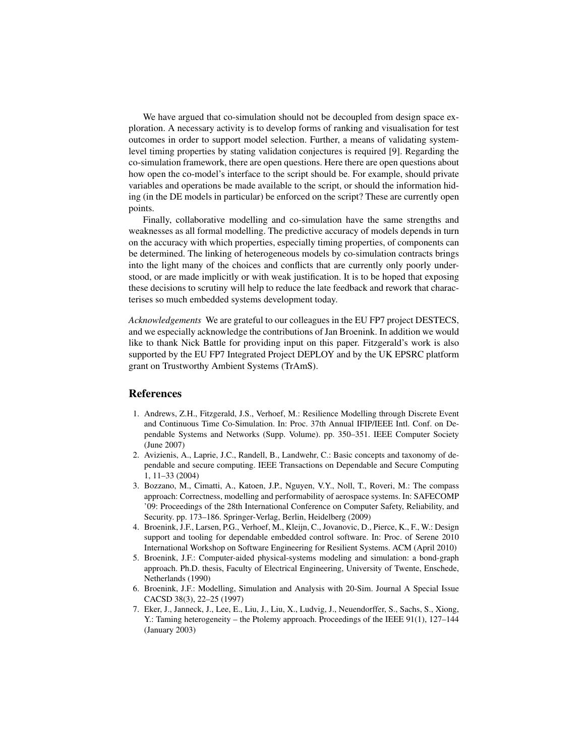We have argued that co-simulation should not be decoupled from design space exploration. A necessary activity is to develop forms of ranking and visualisation for test outcomes in order to support model selection. Further, a means of validating systemlevel timing properties by stating validation conjectures is required [9]. Regarding the co-simulation framework, there are open questions. Here there are open questions about how open the co-model's interface to the script should be. For example, should private variables and operations be made available to the script, or should the information hiding (in the DE models in particular) be enforced on the script? These are currently open points.

Finally, collaborative modelling and co-simulation have the same strengths and weaknesses as all formal modelling. The predictive accuracy of models depends in turn on the accuracy with which properties, especially timing properties, of components can be determined. The linking of heterogeneous models by co-simulation contracts brings into the light many of the choices and conflicts that are currently only poorly understood, or are made implicitly or with weak justification. It is to be hoped that exposing these decisions to scrutiny will help to reduce the late feedback and rework that characterises so much embedded systems development today.

*Acknowledgements* We are grateful to our colleagues in the EU FP7 project DESTECS, and we especially acknowledge the contributions of Jan Broenink. In addition we would like to thank Nick Battle for providing input on this paper. Fitzgerald's work is also supported by the EU FP7 Integrated Project DEPLOY and by the UK EPSRC platform grant on Trustworthy Ambient Systems (TrAmS).

## References

- 1. Andrews, Z.H., Fitzgerald, J.S., Verhoef, M.: Resilience Modelling through Discrete Event and Continuous Time Co-Simulation. In: Proc. 37th Annual IFIP/IEEE Intl. Conf. on Dependable Systems and Networks (Supp. Volume). pp. 350–351. IEEE Computer Society (June 2007)
- 2. Avizienis, A., Laprie, J.C., Randell, B., Landwehr, C.: Basic concepts and taxonomy of dependable and secure computing. IEEE Transactions on Dependable and Secure Computing 1, 11–33 (2004)
- 3. Bozzano, M., Cimatti, A., Katoen, J.P., Nguyen, V.Y., Noll, T., Roveri, M.: The compass approach: Correctness, modelling and performability of aerospace systems. In: SAFECOMP '09: Proceedings of the 28th International Conference on Computer Safety, Reliability, and Security. pp. 173–186. Springer-Verlag, Berlin, Heidelberg (2009)
- 4. Broenink, J.F., Larsen, P.G., Verhoef, M., Kleijn, C., Jovanovic, D., Pierce, K., F., W.: Design support and tooling for dependable embedded control software. In: Proc. of Serene 2010 International Workshop on Software Engineering for Resilient Systems. ACM (April 2010)
- 5. Broenink, J.F.: Computer-aided physical-systems modeling and simulation: a bond-graph approach. Ph.D. thesis, Faculty of Electrical Engineering, University of Twente, Enschede, Netherlands (1990)
- 6. Broenink, J.F.: Modelling, Simulation and Analysis with 20-Sim. Journal A Special Issue CACSD 38(3), 22–25 (1997)
- 7. Eker, J., Janneck, J., Lee, E., Liu, J., Liu, X., Ludvig, J., Neuendorffer, S., Sachs, S., Xiong, Y.: Taming heterogeneity – the Ptolemy approach. Proceedings of the IEEE 91(1), 127–144 (January 2003)